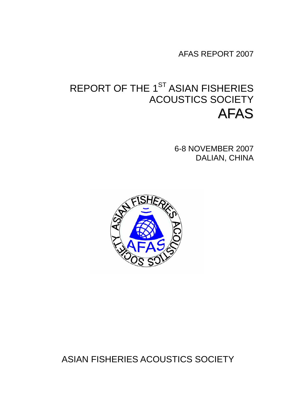AFAS REPORT 2007

# REPORT OF THE 1<sup>ST</sup> ASIAN FISHERIES ACOUSTICS SOCIETY AFAS

6-8 NOVEMBER 2007 DALIAN, CHINA



ASIAN FISHERIES ACOUSTICS SOCIETY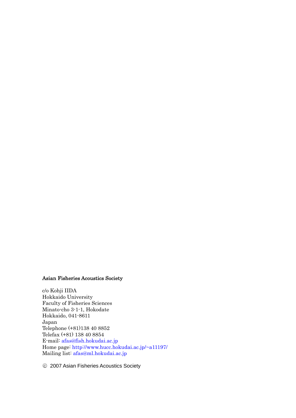#### Asian Fisheries Acoustics Society

c/o Kohji IIDA Hokkaido University Faculty of Fisheries Sciences Minato-cho 3-1-1, Hokodate Hokkaido, 041-8611 Japan Telephone (+81)138 40 8852 Telefax (+81) 138 40 8854 E-mail: afas@fish.hokudai.ac.jp Home page: http://www.hucc.hokudai.ac.jp/~a11197/ Mailing list: afas@ml.hokudai.ac.jp

○C 2007 Asian Fisheries Acoustics Society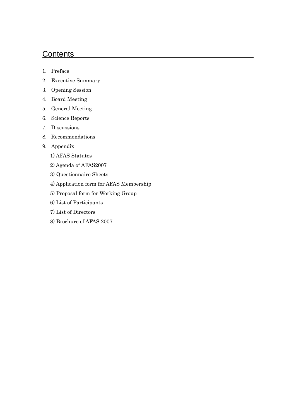# **Contents**

- 1. Preface
- 2. Executive Summary
- 3. Opening Session
- 4. Board Meeting
- 5. General Meeting
- 6. Science Reports
- 7. Discussions
- 8. Recommendations
- 9. Appendix
	- 1) AFAS Statutes
	- 2) Agenda of AFAS2007
	- 3) Questionnaire Sheets
	- 4) Application form for AFAS Membership
	- 5) Proposal form for Working Group
	- 6) List of Participants
	- 7) List of Directors
	- 8) Brochure of AFAS 2007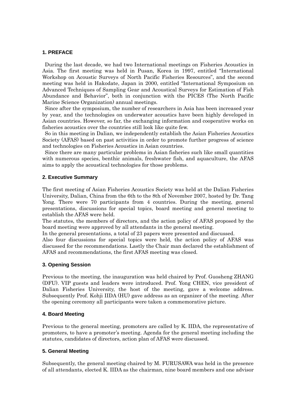#### **1. PREFACE**

During the last decade, we had two International meetings on Fisheries Acoustics in Asia. The first meeting was held in Pusan, Korea in 1997, entitled "International Workshop on Acoustic Surveys of North Pacific Fisheries Resources", and the second meeting was held in Hakodate, Japan in 2000, entitled "International Symposium on Advanced Techniques of Sampling Gear and Acoustical Surveys for Estimation of Fish Abundance and Behavior", both in conjunction with the PICES (The North Pacific Marine Science Organization) annual meetings.

Since after the symposium, the number of researchers in Asia has been increased year by year, and the technologies on underwater acoustics have been highly developed in Asian countries. However, so far, the exchanging information and cooperative works on fisheries acoustics over the countries still look like quite few.

So in this meeting in Dalian, we independently establish the Asian Fisheries Acoustics Society (AFAS) based on past activities in order to promote further progress of science and technologies on Fisheries Acoustics in Asian countries.

Since there are many particular problems in Asian fisheries such like small quantities with numerous species, benthic animals, freshwater fish, and aquaculture, the AFAS aims to apply the acoustical technologies for those problems.

#### **2. Executive Summary**

The first meeting of Asian Fisheries Acoustics Society was held at the Dalian Fisheries University, Dalian, China from the 6th to the 8th of November 2007, hosted by Dr. Tang Yong. There were 70 participants from 4 countries. During the meeting, general presentations, discussions for special topics, board meeting and general meeting to establish the AFAS were held.

The statutes, the members of directors, and the action policy of AFAS proposed by the board meeting were approved by all attendants in the general meeting.

In the general presentations, a total of 23 papers were presented and discussed.

Also four discussions for special topics were held, the action policy of AFAS was discussed for the recommendations. Lastly the Chair man declared the establishment of AFAS and recommendations, the first AFAS meeting was closed.

## **3. Opening Session**

Previous to the meeting, the inauguration was held chaired by Prof. Guosheng ZHANG (DFU). VIP guests and leaders were introduced. Prof. Yong CHEN, vice president of Dalian Fisheries University, the host of the meeting, gave a welcome address. Subsequently Prof. Kohji IIDA (HU) gave address as an organizer of the meeting. After the opening ceremony all participants were taken a commemorative picture.

## **4. Board Meeting**

Previous to the general meeting, promoters are called by K. IIDA, the representative of promoters, to have a promoter's meeting. Agenda for the general meeting including the statutes, candidates of directors, action plan of AFAS were discussed.

## **5. General Meeting**

Subsequently, the general meeting chaired by M. FURUSAWA was held in the presence of all attendants, elected K. IIDA as the chairman, nine board members and one advisor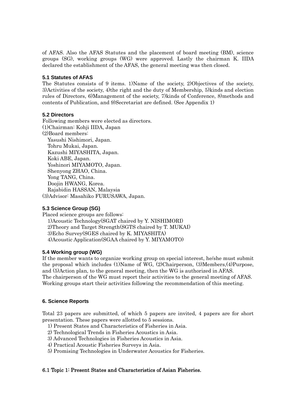of AFAS. Also the AFAS Statutes and the placement of board meeting (BM), science groups (SG), working groups (WG) were approved. Lastly the chairman K. IIDA declared the establishment of the AFAS, the general meeting was then closed.

## **5.1 Statutes of AFAS**

The Statutes consists of 9 items. 1)Name of the society, 2)Objectives of the society, 3)Activities of the society, 4)the right and the duty of Membership, 5)kinds and election rules of Directors, 6)Management of the society, 7)kinds of Conference, 8)methods and contents of Publication, and 9)Secretariat are defined. (See Appendix 1)

## **5.2 Directors**

Following members were elected as directors. (1)Chairman: Kohji IIDA, Japan (2)Board members: Yasushi Nishimori, Japan. Tohru Mukai, Japan. Kazushi MIYASHITA, Japan. Koki ABE, Japan. Yoshinori MIYAMOTO, Japan. Shenyong ZHAO, China. Yong TANG, China. Doojin HWANG, Korea. Rajabidin HASSAN, Malaysia (3)Advisor: Masahiko FURUSAWA, Japan.

## **5.3 Science Group (SG)**

Placed science groups are follows: 1)Acoustic Technology(SGAT chaired by Y. NISHIMORI) 2)Theory and Target Strength(SGTS chaired by T. MUKAI) 3)Echo Survey(SGES chaired by K. MIYASHITA) 4)Acoustic Application(SGAA chaired by Y. MIYAMOTO)

## **5.4 Working group (WG)**

If the member wants to organize working group on special interest, he/she must submit the proposal which includes (1)Name of WG, (2)Chairperson, (3)Members,(4)Purpose, and (5)Action plan, to the general meeting, then the WG is authorized in AFAS. The chairperson of the WG must report their activities to the general meeting of AFAS. Working groups start their activities following the recommendation of this meeting.

## **6. Science Reports**

Total 23 papers are submitted, of which 5 papers are invited, 4 papers are for short presentation. These papers were allotted to 5 sessions.

- 1) Present States and Characteristics of Fisheries in Asia.
- 2) Technological Trends in Fisheries Acoustics in Asia.
- 3) Advanced Technologies in Fisheries Acoustics in Asia.
- 4) Practical Acoustic Fisheries Surveys in Asia.
- 5) Promising Technologies in Underwater Acoustics for Fisheries.

## 6.1 Topic 1: Present States and Characteristics of Asian Fisheries.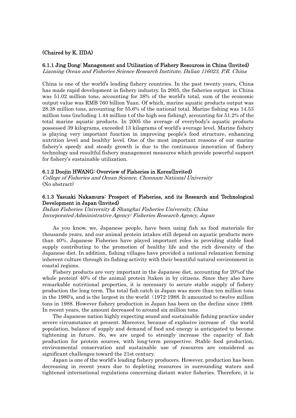#### (Chaired by K. IIDA)

#### 6.1.1 Jing Dong: Management and Utilization of Fishery Resources in China (Invited)

Liaoning Ocean and Fisheries Science Research Institute, Dalian 116023, P.R. China

China is one of the world's leading fishery countries. In the past twenty years, China has made rapid development in fishery industry. In 2005, the fisheries output in China was 51.02 million tons, accounting for 38% of the world's total, sum of the economic output value was RMB 760 billion Yuan. Of which, marine aquatic products output was 28.38 million tons, accounting for 55.6% of the national total. Marine fishing was 14.53 million tons (including 1.44 million t of the high sea fishing), accounting for 51.2% of the total marine aquatic products. In 2005 the average of everybody's aquatic products possessed 39 kilograms, exceeded 13 kilograms of world's average level. Marine fishery is playing very important function in improving people's food structure, enhancing nutrition level and healthy level. One of the most important reasons of our marine fishery's speedy and steady growth is due to the continuous innovation of fishery technology and resultful fishery management measures which provide powerful support for fishery's sustainable utilization.

#### 6.1.2 Doojin HWANG: Overview of Fisheries in Korea(Invited)

College of Fisheries and Ocean Science, Chonnam National University (No abstract)

#### 6.1.3 Yasuaki Nakamura: Prospect of Fisheries, and its Research and Technological Development in Japan (Invited)

Dalian Fisheries University & Shanghai Fisheries University, China Incorporated Administrative Agency: Fisheries Research Agency, Japan

 As you know, we, Japanese people, have been using fish as food materials for thousands years, and our animal protein intakes still depend on aquatic products more than 40%. Japanese Fisheries have played important roles in providing stable food supply contributing to the promotion of healthy life and the rich diversity of the Japanese diet. In addition, fishing villages have provided a national relaxation forming inherent culture through its fishing activity with their beautiful natural environment in coastal regions.

 Fishery products are very important in the Japanese diet, accounting for 20%of the whole protein (40% of the animal protein )taken in by citizens. Since they also have remarkable nutritional properties, it is necessary to secure stable supply of fishery production the long term. The total fish catch in Japan was more than ten million tons in the 1980's, and is the largest in the world (1972-1988. It amounted to twelve million tons in 1988. However fishery production in Japan has been on the decline since 1989. In recent years, the amount decreased to around six million tons.

 The Japanese nation highly expecting sound and sustainable fishing practice under severe circumstance at present. Moreover, because of explosive increase of the world population, balance of supply and demand of food and energy is anticipated to become tightening in future. So, we are urged to strongly increase the capacity of fish production for protein sources, with long-term perspective. Stable food production, environmental conservation and sustainable use of resources are considered as significant challenges toward the 21st century.

 Japan is one of the world's leading fishery producers. However, production has been decreasing in recent years due to depleting resources in surrounding waters and tightened international regulations concerning distant water fisheries. Therefore, it is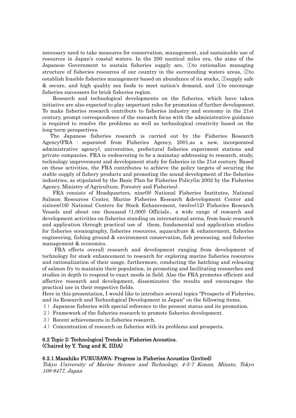necessary need to take measures for conservation, management, and sustainable use of resources in Japan's coastal waters. In the 200 nautical miles era, the aims of the Japanese Government to sustain fisheries supply are, ①to rationalize managing structure of fisheries resources of our country in the surrounding waters areas, ②to establish feasible fisheries management based on abundance of its stocks, ③supply safe & secure, and high quality sea foods to meet nation's demand, and ④to encourage fisheries successors for brisk fisheries region.

 Research and technological developments on the fisheries, which have taken initiative are also expected to play important roles for promotion of further development. To make fisheries research contribute to fisheries industry and economy in the 21st century, prompt correspondence of the research focus with the administrative guidance is required to resolve the problems as well as technological creativity based on the long-term perspectives.

 The Japanese fisheries research is carried out by the Fisheries Research Agency(FRA : separated from Fisheries Agency, 2001,as a new, incorporated administrative agency), universities, prefectural fisheries experiment stations and private companies. FRA is endeavoring to be a mainstay addressing to research, study, technology improvement and development study for fisheries in the 21st century. Based on these activities, the FRA contributes to achieve the policy targets of securing the stable supply of fishery products and promoting the sound development of the fisheries industries, as stipulated by the Basic Plan for Fisheries Policy(in 2002 by the Fisheries Agency, Ministry of Agriculture, Forestry and Fisheries).

 FRA consists of Headquarters, nine(9) National Fisheries Institutes, National Salmon Resources Center, Marine Fisheries Research &development Center and sixteen(16) National Centers for Stock Enhancement, twelve(12) Fisheries Research Vessels and about one thousand (1,000) Officials、a wide range of research and development activities on fisheries standing on international arena, from basic research and application through practical use of them, fundamental and application studies for fisheries oceanography, fisheries resources, aquaculture & enhancement, fisheries engineering, fishing ground & environment conservation, fish processing, and fisheries management & economics.

 FRA effects overall research and development ranging from development of technology for stock enhancement to research for exploring marine fisheries resources and rationalization of their usage, furthermore, conducting the hatching and releasing of salmon fry to maintain their population, in promoting and facilitating researches and studies in depth to respond to exact needs in field. Also the FRA promotes efficient and affective research and development, disseminates the results and encourages the practical use in their respective fields.

Here in this presentation, I would like to introduce several topics "Prospects of Fisheries, and its Research and Technological Development in Japan" on the following items.

- 1) Japanese fisheries with special reference to the present status and its promotion.
- 2) Framework of the fisheries research to promote fisheries development.
- 3)Recent achievements in fisheries research.
- 4) Concentration of research on fisheries with its problems and prospects.

## 6.2 Topic 2: Technological Trends in Fisheries Acoustics. (Chaired by Y. Tang and K. IIDA)

#### 6.2.1 Masahiko FURUSAWA: Progress in Fisheries Acoustics (Invited)

Tokyo University of Marine Science and Technology, 4-5-7 Konan, Minato, Tokyo 108-8477, Japan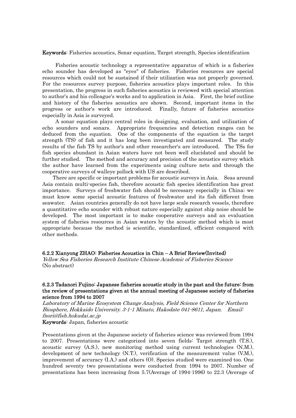Keywords: Fisheries acoustics, Sonar equation, Target strength, Species identification

 Fisheries acoustic technology a representative apparatus of which is a fisheries echo sounder has developed as "eyes" of fisheries. Fisheries resources are special resources which could not be sustained if their utilization was not properly governed. For the resources survey purpose, fisheries acoustics plays important roles. In this presentation, the progress in such fisheries acoustics is reviewed with special attention to author's and his colleague's works and to application in Asia. First, the brief outline and history of the fisheries acoustics are shown. Second, important items in the progress or author's work are introduced. Finally, future of fisheries acoustics especially in Asia is surveyed.

 A sonar equation plays central roles in designing, evaluation, and utilization of echo sounders and sonars. Appropriate frequencies and detection ranges can be deduced from the equation. One of the components of the equation is the target strength (TS) of fish and it has long been investigated and measured. The study results of the fish TS by author's and other researcher's are introduced. The TSs for fish species abundant in Asian waters have not been well elucidated and should be further studied. The method and accuracy and precision of the acoustics survey which the author have learned from the experiments using culture nets and through the cooperative surveys of walleye pollock with US are described.

 There are specific or important problems for acoustic surveys in Asia. Seas around Asia contain multi-species fish, therefore acoustic fish species identification has great importance. Surveys of freshwater fish should be necessary especially in China; we must know some special acoustic features of freshwater and its fish different from seawater. Asian countries generally do not have large scale research vessels, therefore a quantitative echo sounder with robust nature especially against ship noise should be developed. The most important is to make cooperative surveys and an evaluation system of fisheries resources in Asian waters by the acoustic method which is most appropriate because the method is scientific, standardized, efficient compared with other methods.

## 6.2.2 Xianyong ZHAO: Fisheries Acoustics in Chin – A Brief Review(Invited)

Yellow Sea Fisheries Research Institute Chinese Academic of Fisheries Science (No abstract)

#### 6.2.3 Tadanori Fujino: Japanese fisheries acoustic study in the past and the future: from the review of presentations given at the annual meeting of Japanese society of fisheries science from 1994 to 2007

Laboratory of Marine Ecosystem Change Analysis, Field Science Center for Northern Biosphere, Hokkaido University. 3-1-1 Minato, Hakodate 041-8611, Japan. Email: fnori@fish.hokudai.ac.jp

Keywords: Japan, fisheries acoustic

Presentations given at the Japanese society of fisheries science was reviewed from 1994 to 2007. Presentations were categorized into seven fields: Target strength (T.S.), acoustic survey (A.S.), new monitoring method using current technologies (N.M.), development of new technology (N.T.), verification of the measurement value (V.M.), improvement of accuracy (I.A.) and others (O). Species studied were examined too. One hundred seventy two presentations were conducted from 1994 to 2007. Number of presentations has been increasing from 5.7(Average of 1994-1996) to 22.3 (Average of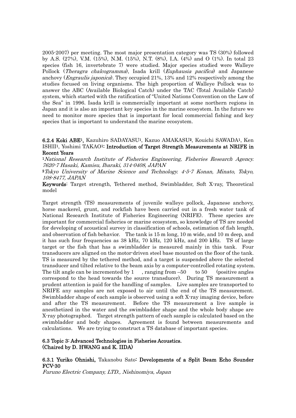2005-2007) per meeting. The most major presentation category was TS (30%) followed by A.S. (27%), V.M. (15%), N.M. (15%), N.T. (8%), I.A. (4%) and O (1%). In total 23 species (fish 16, invertebrate 7) were studied. Major species studied were Walleye Pollock (*Theragra chalcogramma*), Isada krill (*Euphausia pacifica*) and Japanese anchovy (*Engraulis japonica*). They occupied 21%, 13% and 12% respectively among the studies focused on living organisms. The high proportion of Walleye Pollock was to answer the ABC (Available Biological Catch) under the TAC (Total Available Catch) system, which started with the ratification of "United Nations Convention on the Law of the Sea" in 1996. Isada krill is commercially important at some northern regions in Japan and it is also an important key species in the marine ecosystem. In the future we need to monitor more species that is important for local commercial fishing and key species that is important to understand the marine ecosystem.

## 6.2.4 Koki ABE1, Kazuhiro SADAYASU1, Kazuo AMAKASU2, Kouichi SAWADA1, Ken ISHII1, Yoshimi TAKAO1: Introduction of Target Strength Measurements at NRIFE in Recent Years

<sup>1</sup>National Research Institute of Fisheries Engineering, Fisheries Research Agency. 7620-7 Hasaki, Kamisu, Ibaraki, 314-0408, JAPAN

<sup>2</sup>Tokyo University of Marine Science and Technology. 4-5-7 Konan, Minato, Tokyo, 108-8477, JAPAN

Keywords: Target strength, Tethered method, Swimbladder, Soft X-ray, Theoretical model

Target strength (TS) measurements of juvenile walleye pollock, Japanese anchovy, horse mackerel, grunt, and rockfish have been carried out in a fresh water tank of National Research Institute of Fisheries Engineering (NRIFE). These species are important for commercial fisheries or marine ecosystem, so knowledge of TS are needed for developing of acoustical survey in classification of schools, estimation of fish length, and observation of fish behavior. The tank is 15 m long, 10 m wide, and 10 m deep, and it has such four frequencies as 38 kHz, 70 kHz, 120 kHz, and 200 kHz. TS of large target or the fish that has a swimbladder is measured mainly in this tank. Four transducers are aligned on the motor-driven steel base mounted on the floor of the tank. TS is measured by the tethered method, and a target is suspended above the selected transducer and tilted relative to the beam axis by a computer-controlled rotating system. The tilt angle can be incremented by  $1$ , ranging from  $-50$  to  $50$  (positive angles correspond to the head towards the source transducer). During TS measurement a prudent attention is paid for the handling of samples. Live samples are transported to NRIFE any samples are not exposed to air until the end of the TS measurement. Swimbladder shape of each sample is observed using a soft X-ray imaging device, before and after the TS measurement. Before the TS measurement a live sample is anesthetized in the water and the swimbladder shape and the whole body shape are X-ray photographed. Target strength pattern of each sample is calculated based on the swimbladder and body shapes. Agreement is found between measurements and calculations. We are trying to construct a TS database of important species.

#### 6.3 Topic 3: Advanced Technologies in Fisheries Acoustics. (Chaired by D. HWANG and K. IIDA)

6.3.1 Yuriko Ohnishi, Takanobu Sato: Developments of a Split Beam Echo Sounder FCV-30

Furuno Electric Company, LTD., Nishinomiya, Japan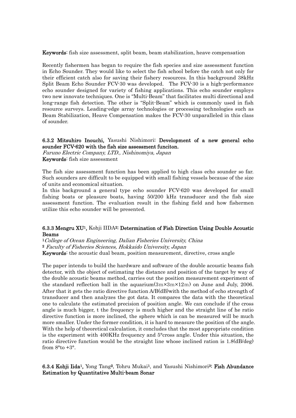Keywords: fish size assessment, split beam, beam stabilization, heave compensation

Recently fishermen has began to require the fish species and size assessment function in Echo Sounder. They would like to select the fish school before the catch not only for their efficient catch also for saving their fishery resources. In this background 38kHz Split Beam Echo Sounder FCV-30 was developed. The FCV-30 is a high-performance echo sounder designed for variety of fishing applications. This echo sounder employs two new innovate techniques. One is "Multi-Beam" that facilitates multi directional and long-range fish detection. The other is "Split-Beam" which is commonly used in fish resource surveys. Leading-edge array technologies or processing technologies such as Beam Stabilization, Heave Compensation makes the FCV-30 unparalleled in this class of sounder.

#### 6.3.2 Mitsuhiro Inouchi, Yasushi Nishimori: Development of a new general echo sounder FCV-620 with the fish size assessment funciton.

Furuno Electric Company, LTD., Nishinomiya, Japan Keywords: fish size assessment

The fish size assessment function has been applied to high class echo sounder so far. Such sounders are difficult to be equipped with small fishing vessels because of the size of units and economical situation.

In this background a general type echo sounder FCV-620 was developed for small fishing boats or pleasure boats, having 50/200 kHz transducer and the fish size assessment function. The evaluation result in the fishing field and how fishermen utilize this echo sounder will be presented.

#### 6.3.3 Mengru XU1, Kohji IIDA2: Determination of Fish Direction Using Double Acoustic Beams

<sup>1</sup>College of Ocean Engineering, Dalian Fisheries University, China

<sup>2</sup> Faculty of Fisheries Sciences, Hokkaido University, Japan

Keywords: the acoustic dual beam, position measurement, directive, cross angle

The paper intends to build the hardware and software of the double acoustic beams fish detector, with the object of estimating the distance and position of the target by way of the double acoustic beams method, carries out the position measurement experiment of the standard reflection ball in the aquarium(3m×3m×12m) on June and July, 2006. After that it gets the ratio directive function A/B(dB)with the method of echo strength of transducer and then analyzes the got data. It compares the data with the theoretical one to calculate the estimated precision of position angle. We can conclude if the cross angle is much bigger, t the frequency is much higher and the straight line of he ratio directive function is more inclined, the sphere which is can be measured will be much more smaller. Under the former condition, it is hard to measure the position of the angle. With the help of theoretical calculation, it concludes that the most appropriate condition is the experiment with 400KHz frequency and 5°cross angle. Under this situation, the ratio directive function would be the straight line whose inclined ration is 1.8(dB/deg) from  $8^{\circ}$  to  $+3^{\circ}$ .

6.3.4 Kohji Iida<sup>1</sup>, Yong Tang<sup>2</sup>, Tohru Mukai<sup>1</sup>, and Yasushi Nishimori<sup>3:</sup> Fish Abundance Estimation by Quantitative Multi-beam Sonar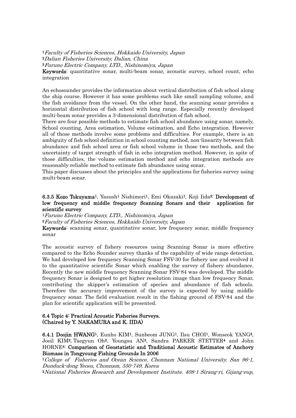<sup>1</sup>Faculty of Fisheries Sciences, Hokkaido University, Japan <sup>2</sup>Dalian Fisheries University, Dalian, China <sup>3</sup>Furuno Electric Company, LTD., Nishinomiya, Japan

Keywords: quantitative sonar, multi-beam sonar, acoustic survey, school count, echo

integration

An echosounder provides the information about vertical distribution of fish school along the ship course. However it has some problems such like small sampling volume, and the fish avoidance from the vessel. On the other hand, the scanning sonar provides a horizontal distribution of fish school with long range. Especially recently developed multi-beam sonar provides a 3-dimensional distribution of fish school.

There are four possible methods to estimate fish school abundance using sonar, namely, School counting, Area estimation, Volume estimation, and Echo integration. However all of those methods involve some problems and difficulties. For example, there is an ambiguity of fish school definition in school counting method, non-linearity between fish abundance and fish school area or fish school volume in those two methods, and the uncertainty of target strength of fish in echo integration method. However, in spite of those difficulties, the volume estimation method and echo integration methods are reasonably reliable method to estimate fish abundance using sonar.

This paper discusses about the principles and the applications for fisheries survey using multi-beam sonar.

## 6.3.5 Kozo Tokuyama<sup>1</sup>, Yasush<sup>1</sup> Nishimori<sup>1</sup>, Emi Okazaki<sup>1</sup>, Koji Iida<sup>2:</sup> Development of low frequency and middle frequency Scanning Sonars and their application for scientific survey

<sup>1</sup>Furuno Electric Company, LTD., Nishinomiya, Japan

<sup>2</sup>Faculty of Fisheries Sciences, Hokkaido University, Japan

Keywords: scanning sonar, quantitative sonar, low frequency sonar, middle frequency sonar

The acoustic survey of fishery resources using Scanning Sonar is more effective compared to the Echo Sounder survey thanks of the capability of wide range detection. We had developed low frequency Scanning Sonar FSV-30 for fishery use and evolved it to the quantitative scientific Sonar which enabling the survey of fishery abundance. Recently the new middle frequency Scanning Sonar FSV-84 was developed. The middle frequency Sonar is designed to get higher resolution image than low frequency Sonar, contributing the skipper's estimation of species and abundance of fish schools. Therefore the accuracy improvement of the survey is expected by using middle frequency sonar. The field evaluation result in the fishing ground of FSV-84 and the plan for scientific application will be presented.

## 6.4 Topic 4: Practical Acoustic Fisheries Surveys. (Chaired by Y. NAKAMURA and K. IIDA)

6.4.1 Doojin HWANG1, Eunho KIM1, Sunbeom JUNG1, Ilsu CHOI1, Wonseok YANG2, Jooil KIM2, Taegyun Oh2, Youngsu AN3, Sandra PARKER STETTER4 and John HORNE4: Comparison of Geostatistic and Traditional Acoustic Estimates of Anchovy Biomass in Tongyoung Fishing Grounds In 2006

<sup>1</sup>College of Fisheries and Ocean Science, Chonnam National University. San 96-1, Dunduck-dong Yeosu, Chonnam, 550-749, Korea

2National Fisheries Research and Development Institute. 408-1 Sirang-ri, Gijang-eup,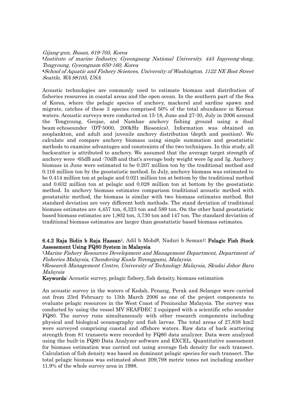Gijang-gun, Busan, 619-705, Korea <sup>3</sup>Institute of marine Industry, Gyeongsang National University. 445 Inpyeong-dong, Tongyoung, Gyeongnam 650-160, Korea <sup>4</sup>School of Aquatic and Fishery Sciences, University of Washington. 1122 NE Bost Street Seattle, WA 98105, USA

Acoustic technologies are commonly used to estimate biomass and distribution of fisheries resources in coastal areas and the open ocean. In the southern part of the Sea of Korea, where the pelagic species of anchovy, mackerel and sardine spawn and migrate, catches of these 3 species comprised 50% of the total abundance in Korean waters. Acoustic surveys were conducted on 15-18, June and 27-30, July in 2006 around the Tongyoung, Geojae, and Namhae anchovy fishing ground using a dual beam echosounder (DT-5000, 200kHz Biosonics). Information was obtained on zooplankton, and adult and juvenile anchovy distribution (depth and position). We calculate and compare anchovy biomass using simple summation and geostatistic methods to examine advantages and constraints of the two techniques. In this study, all backscatter is attributed to anchovy. We assumed that the average target strength of anchovy were -65dB and -70dB and that's average body weight were 5g and 3g. Anchovy biomass in June were estimated to be 0.207 million ton by the traditional method and 0.116 million ton by the geostatistic method. In July, anchovy biomass was estimated to be 0.414 million ton at pelagic and 0.021 million ton at bottom by the traditional method and 0.632 million ton at pelagic and 0.028 million ton at bottom by the geostatistic method. In anchovy biomass estimates comparison traditional acoustic method with geostatsitic method, the biomass is similar with two biomass estimates method. But standard deviation are very different both methods. The stand deviation of traditional biomass estimates are 4,457 ton, 6,323 ton and 589 ton. On the other hand geostatistic based biomass estimates are 1,802 ton, 3,730 ton and 147 ton. The standard deviation of traditional biomass estimates are larger than geostatistic based biomass estimates.

## 6.4.2 Raja Bidin b Raja Hassan<sup>1</sup>, Adil b Mohd<sup>2</sup>, Nadzri b Seman<sup>1:</sup> Pelagic Fish Stock Assessment Using FQ80 System in Malaysia

<sup>1</sup>Marine Fishery Resources Development and Management Department, Department of Fisheries Malaysia, Chendering Kuala Terengganu, Malaysia.

<sup>2</sup>Research Management Centre, University of Technology Malaysia, Skudai Johor Baru Malaysia

Keywords: Acoustic survey, pelagic fishery, fish density, biomass estimation

An acoustic survey in the waters of Kedah, Penang, Perak and Selangor were carried out from 23rd February to 13th March 2006 as one of the project components to evaluate pelagic resources in the West Coast of Peninsular Malaysia. The survey was conducted by using the vessel MV SEAFDEC 2 equipped with a scientific echo sounder FQ80. The survey runs simultaneously with other research components including physical and biological oceanography and fish larvae. The total areas of 27,838 km2 were surveyed comprising coastal and offshore waters. Raw data of back scattering strength from 81 transects were recorded by FQ80 data analyzer. Data were analyzed using the built-in FQ80 Data Analyzer software and EXCEL. Quantitative assessment for biomass estimation was carried out using average fish density for each transect. Calculation of fish density was based on dominant pelagic species for each transect. The total pelagic biomass was estimated about 209,798 metric tones not including another 11.9% of the whole survey area in 1998.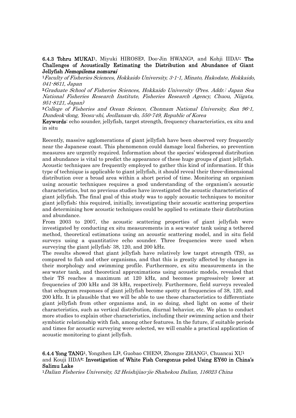# 6.4.3 Tohru MUKAI1, Miyuki HIROSE2, Doo-Jin HWANG3, and Kohji IIDA1: The Challenges of Acoustically Estimating the Distribution and Abundance of Giant

Jellyfish Nemopilema nomurai<br>1 Faculty of Fisheries Sciences, Hokkaido University, 3-1-1, Minato, Hakodate, Hokkaido, 041-8611, Japan

<sup>2</sup>Graduate School of Fisheries Sciences, Hokkaido University (Pres. Addr.: Japan Sea National Fisheries Research Institute, Fisheries Research Agency, Chuou, Niigata, 951-8121, Japan)

<sup>3</sup>College of Fisheries and Ocean Science, Chonnam National University, San 96-1, Dundeok-dong, Yeosu-shi, Jeollanam-do, 550-749, Republic of Korea

Keywords: echo sounder, jellyfish, target strength, frequency characteristics, ex situ and in situ

Recently, massive agglomerations of giant jellyfish have been observed very frequently near the Japanese coast. This phenomenon could damage local fisheries, so prevention measures are urgently required. Information about the species' widespread distribution and abundance is vital to predict the appearance of these huge groups of giant jellyfish. Acoustic techniques are frequently employed to gather this kind of information. If this type of technique is applicable to giant jellyfish, it should reveal their three-dimensional distribution over a broad area within a short period of time. Monitoring an organism using acoustic techniques requires a good understanding of the organism's acoustic characteristics, but no previous studies have investigated the acoustic characteristics of giant jellyfish. The final goal of this study was to apply acoustic techniques to monitor giant jellyfish; this required, initially, investigating their acoustic scattering properties and determining how acoustic techniques could be applied to estimate their distribution and abundance.

From 2003 to 2007, the acoustic scattering properties of giant jellyfish were investigated by conducting ex situ measurements in a sea-water tank using a tethered method, theoretical estimations using an acoustic scattering model, and in situ field surveys using a quantitative echo sounder. Three frequencies were used when surveying the giant jellyfish: 38, 120, and 200 kHz.

The results showed that giant jellyfish have relatively low target strength (TS), as compared to fish and other organisms, and that this is greatly affected by changes in their morphology and swimming profile. Furthermore, ex situ measurements in the sea-water tank, and theoretical approximations using acoustic models, revealed that their TS reaches a maximum at 120 kHz, and becomes progressively lower at frequencies of 200 kHz and 38 kHz, respectively. Furthermore, field surveys revealed that echogram responses of giant jellyfish become spotty at frequencies of 38, 120, and 200 kHz. It is plausible that we will be able to use these characteristics to differentiate giant jellyfish from other organisms and, in so doing, shed light on some of their characteristics, such as vertical distribution, diurnal behavior, etc. We plan to conduct more studies to explain other characteristics, including their swimming action and their symbiotic relationship with fish, among other features. In the future, if suitable periods and times for acoustic surveying were selected, we will enable a practical application of acoustic monitoring to giant jellyfish.

6.4.4 Yong TANG1, Yongzhen LI2, Guobao CHEN2, Zhongze ZHANG1, Chuancai XU1 and Kouji IIDA3: Investigation of White Fish Coregonus peled Using EY60 in China's Salimu Lake

1Dalian Fisheries University, 52 Heishijiao-jie Shahekou Dalian, 116023 China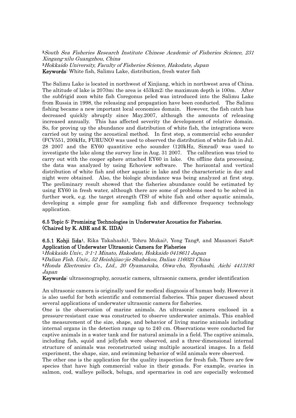<sup>2</sup>South Sea Fisheries Research Institute Chinese Academic of Fisheries Science, 231 Xingang-xilu Guangzhou, China <sup>3</sup>Hokkaido University, Faculty of Fisheries Science, Hakodate, Japan Keywords: White fish, Salimu Lake, distribution, fresh water fish

The Salimu Lake is located in northwest of Xinjiang, which in northwest area of China. The altitude of lake is 2070m; the area is 453km2; the maximum depth is 100m. After the subfrigid zoon white fish Coregonus peled was introduced into the Salimu Lake from Russia in 1998, the releasing and propagation have been conducted. The Salimu fishing became a new important local economies domain. However, the fish catch has decreased quickly abruptly since May.2007, although the amounts of releasing increased annually. This has affected severity the development of relative domain. So, for proving up the abundance and distribution of white fish, the integrations were carried out by using the acoustical method. In first step, a commercial echo sounder (FCV551, 200kHz, FURUNO) was used to observed the distribution of white fish in Jul. 28 2007 and the EY60 quantitive echo sounder (120kHz, Simrad) was used to investigate the lake along the survey line in Aug. 31 2007. The calibration was tried to carry out with the cooper sphere attached EY60 in lake. On offline data processing, the data was analyzed by using Echoview software. The horizontal and vertical distribution of white fish and other aquatic in lake and the characteristic in day and night were obtained. Also, the biologic abundance was being analyzed at first step. The preliminary result showed that the fisheries abundance could be estimated by using EY60 in fresh water, although there are some of problems need to be solved in further work, e.g. the target strength (TS) of white fish and other aquatic animals, developing a simple gear for sampling fish and difference frequency technology application.

## 6.5 Topic 5: Promising Technologies in Underwater Acoustics for Fisheries. (Chaired by K. ABE and K. IIDA)

## 6.5.1 Kohji Iida1, Rika Takahashi1, Tohru Mukai1, Yong Tang2, and Masanori Sato3: Application of Underwater Ultrasonic Camera for Fisheries

<sup>1</sup>Hokkaido Univ., 3-1-1 Minato, Hakodate, Hokkaido 0418611 Japan

<sup>2</sup>Dalian Fish. Univ., 52 Heishijiao-jie Shahekou, Dalian 116023 China

<sup>3</sup>Honda Electronics Co., Ltd., 20 Oyamazuka, Oiwa-cho, Toyohashi, Aichi 4413193 Japan

Keywords: ultrasonography, acoustic camera, ultrasonic camera, gender identification

An ultrasonic camera is originally used for medical diagnosis of human body. However it is also useful for both scientific and commercial fisheries. This paper discussed about several applications of underwater ultrasonic camera for fisheries.

One is the observation of marine animals. An ultrasonic camera enclosed in a pressure-resistant case was constructed to observe underwater animals. This enabled the measurement of the size, shape, and behavior of living marine animals including internal organs in the detection range up to 240 cm. Observations were conducted for captive animals in a water tank and for natural animals in a field. The captive animals, including fish, squid and jellyfish were observed, and a three-dimensional internal structure of animals was reconstructed using multiple acoustical images. In a field experiment, the shape, size, and swimming behavior of wild animals were observed.

The other one is the application for the quality inspection for fresh fish. There are few species that have high commercial value in their gonads. For example, ovaries in salmon, cod, walleye pollock, beluga, and spermaries in cod are especially welcomed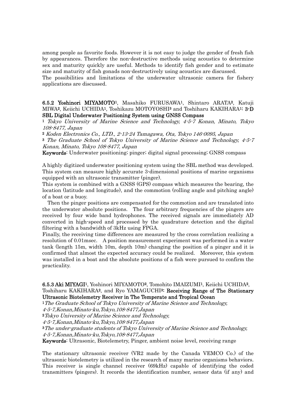among people as favorite foods. However it is not easy to judge the gender of fresh fish by appearances. Therefore the non-destructive methods using acoustics to determine sex and maturity quickly are useful. Methods to identify fish gender and to estimate size and maturity of fish gonads non-destructively using acoustics are discussed.

The possibilities and limitations of the underwater ultrasonic camera for fishery applications are discussed.

6.5.2 Yoshinori MIYAMOTO1, Masahiko FURUSAWA1, Shintaro ARATA2, Katuji MIWA<sup>2</sup>, Keiichi UCHIDA<sup>1</sup>, Toshikazu MOTOYOSHI<sup>3</sup> and Toshiharu KAKIHARA<sup>1:</sup> 3-D SBL Digital Underwater Positioning System using GNSS Compass

<sup>1</sup> Tokyo University of Marine Science and Technology, 4-5-7 Konan, Minato, Tokyo 108-8477, Japan

<sup>2</sup> Koden Electronics Co., LTD., 2-13-24 Tamagawa, Ota, Tokyo 146-0095, Japan

<sup>3</sup> The Graduate School of Tokyo University of Marine Science and Technology, 4-5-7 Konan, Minato, Tokyo 108-8477, Japan

Keywords: Underwater positioning; pinger; digital signal processing; GNSS compass

A highly digitized underwater positioning system using the SBL method was developed. This system can measure highly accurate 3-dimensional positions of marine organisms equipped with an ultrasonic transmitter (pinger).

This system is combined with a GNSS (GPS) compass which measures the bearing, the location (latitude and longitude), and the commotion (rolling angle and pitching angle) of a boat or a buoy.

 Then the pinger positions are compensated for the commotion and are translated into the underwater absolute positions. The four arbitrary frequencies of the pingers are received by four wide band hydrophones. The received signals are immediately AD converted in high-speed and processed by the quadrature detection and the digital filtering with a bandwidth of 3kHz using FPGA.

Finally, the receiving time differences are measured by the cross correlation realizing a resolution of 0.01msec. A position measurement experiment was performed in a water tank (length 15m, width 10m, depth 10m) changing the position of a pinger and it is confirmed that almost the expected accuracy could be realized. Moreover, this system was installed in a boat and the absolute positions of a fish were pursued to confirm the practicality.

#### 6.5.3 Aki MIYAGI1, Yoshinori MIYAMOTO2, Tomohito IMAIZUMI1, Keiichi UCHIDA2, Toshiharu KAKIHARA2, and Ryo YAMAGUCHI3: Receiving Range of The Stationary Ultrasonic Biotelemetry Receiver in The Temperate and Tropical Ocean

<sup>1</sup>The Graduate School of Tokyo University of Marine Science and Technology,

4-5-7,Konan,Minato-ku,Tokyo,108-8477,Japan

<sup>2</sup>Tokyo University of Marine Science and Technology,

4-5-7,Konan,Minato-ku,Tokyo,108-8477,Japan

<sup>3</sup>The under-graduate students of Tokyo University of Marine Science and Technology, 4-5-7,Konan,Minato-ku,Tokyo,108-8477,Japan

Keywords: Ultrasonic, Biotelemetry, Pinger, ambient noise level, receiving range

The stationary ultrasonic receiver (VR2 made by the Canada VEMCO Co.) of the ultrasonic biotelemetry is utilized in the research of many marine organisms behaviors. This receiver is single channel receiver (69kHz) capable of identifying the coded transmitters (pingers). It records the identification number, sensor data (if any) and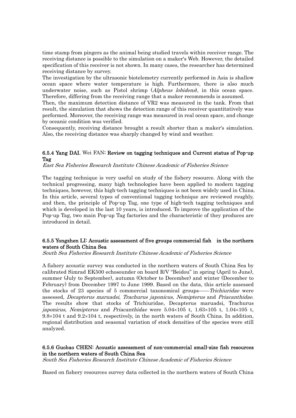time stamp from pingers as the animal being studied travels within receiver range. The receiving distance is possible to the simulation on a maker's Web. However, the detailed specification of this receiver is not shown. In many cases, the researcher has determined receiving distance by survey.

The investigation by the ultrasonic biotelemetry currently performed in Asia is shallow ocean space where water temperature is high. Furthermore, there is also much underwater noise, such as Pistol shrimp (*Alpheus lobidens*), in this ocean space. Therefore, differing from the receiving range that a maker recommends is assumed.

Then, the maximum detection distance of VR2 was measured in the tank. From that result, the simulation that shows the detection range of this receiver quantitatively was performed. Moreover, the receiving range was measured in real ocean space, and change by oceanic condition was verified.

Consequently, receiving distance brought a result shorter than a maker's simulation. Also, the receiving distance was sharply changed by wind and weather.

## 6.5.4 Yang DAI, Wei FAN: Review on tagging techniques and Current status of Pop-up Tag

East Sea Fisheries Research Institute Chinese Academic of Fisheries Science

The tagging technique is very useful on study of the fishery resource. Along with the technical progressing, many high technologies have been applied to modern tagging techniques, however, this high-tech tagging techniques is not been widely used in China. In this article, several types of conventional tagging technique are reviewed roughly, and then, the principle of Pop-up Tag, one type of high-tech tagging techniques and which is developed in the last 10 years, is introduced. To improve the application of the Pop-up Tag, two main Pop-up Tag factories and the characteristic of they produces are introduced in detail.

## 6.5.5 Yongzhen LI: Acoustic assessment of five groups commercial fish in the northern waters of South China Sea

South Sea Fisheries Research Institute Chinese Academic of Fisheries Science

A fishery acoustic survey was conducted in the northern waters of South China Sea by calibrated Simrad EK500 echosounder on board R/V "Beidou" in spring (April to June), summer (July to September), autumn (October to December) and winter (December to February) from December 1997 to June 1999. Based on the data, this article assessed the stocks of 23 species of 5 commercial taxonomical groups——*Trichiuridae* were assessed, Decapterus maruadsi, Trachurus japonicus, Nemipterus and Priacanthidae. The results show that stocks of Trichiuridae, Decapterus maruadsi, Trachurus japonicus, Nemipterus and Priacanthidae were  $5.04 \times 105$  t,  $1.63 \times 105$  t,  $1.04 \times 105$  t,  $9.8\times104$  t and  $9.2\times104$  t, respectively, in the north waters of South China. In addition, regional distribution and seasonal variation of stock densities of the species were still analyzed.

## 6.5.6 Guobao CHEN: Acoustic assessment of non-commercial small-size fish resources in the northern waters of South China Sea

South Sea Fisheries Research Institute Chinese Academic of Fisheries Science

Based on fishery resources survey data collected in the northern waters of South China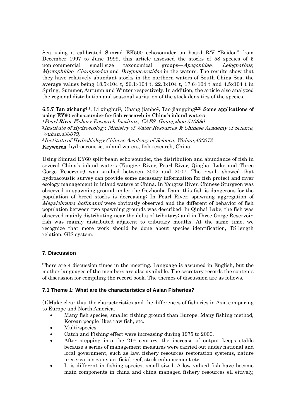Sea using a calibrated Simrad EK500 echosounder on board R/V "Beidou" from December 1997 to June 1999, this article assessed the stocks of 58 species of 5 non-commercial small-size taxonomical groups—*Apogonidae*, Leiognathus, Myctophidae, Champsodon and Bregmacerotidae in the waters. The results show that they have relatively abundant stocks in the northern waters of South China Sea, the average values being 18.5×104 t, 26.1×104 t, 22.3×104 t, 17.6×104 t and 4.5×104 t in Spring, Summer, Autumn and Winter respectively. In addition, the article also analyzed the regional distribution and seasonal variation of the stock densities of the species.

## 6.5.7 Tan xichang<sup>1,3</sup>, Li xinghui<sup>1</sup>, Chang jianbo<sup>2</sup>, Tao jiangping<sup>2,3:</sup> Some applications of using EY60 echo-sounder for fish research in China's inland waters

<sup>1</sup>Pearl River Fishery Research Institute, CAFS, Guangzhou 510380 <sup>2</sup>Institute of Hydroecology, Ministry of Water Resources & Chinese Academy of Science, Wuhan,430079,

<sup>3</sup>Institute of Hydrobiology,Chinese Academy of Science, Wuhan,430072 Keywords: hydroacoustic, inland waters, fish research, China

Using Simrad EY60 split-beam echo-sounder, the distribution and abundance of fish in several China's inland waters (Yangtze River, Pearl River, Qinghai Lake and Three Gorge Reservoir) was studied between 2005 and 2007. The result showed that hydroacoustic survey can provide some necessary information for fish protect and river ecology management in inland waters of China. In Yangtze River, Chinese Sturgeon was observed in spawning ground under the Gezhouba Dam, this fish is dangerous for the population of breed stocks is decreasing; In Pearl River, spawning aggregation of Megalobrama hoffmanni were obviously observed and the different of behavior of fish population between two spawning grounds was described; In Qinhai Lake, the fish was observed mainly distributing near the delta of tributary; and in Three Gorge Reservoir, fish was mainly distributed adjacent to tributary mouths. At the same time, we recognize that more work should be done about species identification, TS-length relation, GIS system.

## **7. Discussion**

There are 4 discussion times in the meeting. Language is assumed in English, but the mother languages of the members are also available. The secretary records the contents of discussion for compiling the record book. The themes of discussion are as follows.

## **7.1 Theme 1: What are the characteristics of Asian Fisheries?**

(1)Make clear that the characteristics and the differences of fisheries in Asia comparing to Europe and North America.

- Many fish species, smaller fishing ground than Europe, Many fishing method, Korean people likes raw fish, etc.
- Multi-species
- Catch and Fishing effect were increasing during 1975 to 2000.
- After stepping into the  $21<sup>st</sup>$  century, the increase of output keeps stable because a series of management measures were carried out under national and local government, such as law, fishery resources restoration systems, nature preservation zone, artificial reef, stock enhancement etc.
- It is different in fishing species, small sized. A low valued fish have become main components in china and china managed fishery resources ell eitively,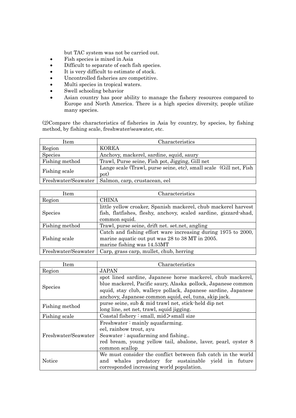but TAC system was not be carried out.

- Fish species is mixed in Asia
- Difficult to separate of each fish species.
- It is very difficult to estimate of stock.
- Uncontrolled fisheries are competitive.
- Multi species in tropical waters.
- Swell schooling behavior
- Asian country has poor ability to manage the fishery resources compared to Europe and North America. There is a high species diversity, people utilize many species.

(2)Compare the characteristics of fisheries in Asia by country, by species, by fishing method, by fishing scale, freshwater/seawater, etc.

| Item                | Characteristics                                                            |  |  |  |
|---------------------|----------------------------------------------------------------------------|--|--|--|
| Region              | <b>KOREA</b>                                                               |  |  |  |
| Species             | Anchovy, mackerel, sardine, squid, saury                                   |  |  |  |
| Fishing method      | Trawl, Purse seine, Fish pot, Jigging, Gill net                            |  |  |  |
| Fishing scale       | Lange scale (Trawl, purse seine, etc), small scale (Gill net, Fish<br>pot) |  |  |  |
| Freshwater/Seawater | Salmon, carp, crustacean, eel                                              |  |  |  |

| Item           | Characteristics                                                                                                                                     |  |  |  |
|----------------|-----------------------------------------------------------------------------------------------------------------------------------------------------|--|--|--|
| Region         | <b>CHINA</b>                                                                                                                                        |  |  |  |
| <b>Species</b> | little yellow croaker, Spanish mackerel, chub mackerel harvest<br>fish, flatfishes, fleshy, anchovy, scaled sardine, gizzard-shad,<br>common squid. |  |  |  |
| Fishing method | Trawl, purse seine, drift net. set.net, angling                                                                                                     |  |  |  |
| Fishing scale  | Catch and fishing effort ware increasing during 1975 to 2000,<br>marine aquatic out put was 28 to 38 MT in 2005.<br>marine fishing was 14.53MT      |  |  |  |
|                | Freshwater/Seawater   Carp, grass carp, mullet, chub, herring                                                                                       |  |  |  |

| Item                | Characteristics                                                                                                                                                                                                                                        |  |  |  |  |
|---------------------|--------------------------------------------------------------------------------------------------------------------------------------------------------------------------------------------------------------------------------------------------------|--|--|--|--|
| Region              | <b>JAPAN</b>                                                                                                                                                                                                                                           |  |  |  |  |
| <b>Species</b>      | spot lined sardine, Japanese horse mackerel, chub mackerel,<br>blue mackerel, Pacific saury, Alaska pollock, Japanese common<br>squid, stay club, walleye pollack, Japanese sardine, Japanese<br>anchovy, Japanese common squid, eel, tuna, skip jack. |  |  |  |  |
| Fishing method      | purse seine, sub & mid trawl net, stick-held dip net<br>long line, set net, trawl, squid jigging.                                                                                                                                                      |  |  |  |  |
| Fishing scale       | Coastal fishery: small, mid>small size                                                                                                                                                                                                                 |  |  |  |  |
| Freshwater/Seawater | Freshwater $:$ mainly aquafarming.<br>eel, rainbow trout, ayu<br>Seawater $:$ aquafarming and fishing<br>red bream, young yellow tail, abalone, laver, pearl, oyster 8<br>common scallop                                                               |  |  |  |  |
| Notice              | We must consider the conflict between fish catch in the world<br>and whales predatory for sustainable yield in future<br>corresponded increasing world population.                                                                                     |  |  |  |  |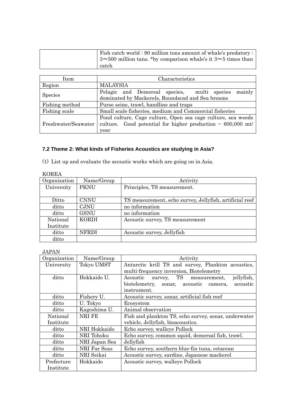| Fish catch world : 90 million tons amount of whale's predatory :           |
|----------------------------------------------------------------------------|
| $\frac{1}{2}$ 3~500 million tans. *by comparison whale's it 3~5 times than |
| catch                                                                      |

| Item                | Characteristics                                                                                                                          |  |  |  |  |
|---------------------|------------------------------------------------------------------------------------------------------------------------------------------|--|--|--|--|
| Region              | <b>MALAYSIA</b>                                                                                                                          |  |  |  |  |
| Species             | mainly<br>Pelagic and Demersal species, multi species<br>dominated by Mackerels, Roundscad and Sea breams                                |  |  |  |  |
| Fishing method      | Purse seine, trawl, handline and traps                                                                                                   |  |  |  |  |
| Fishing scale       | Small scale fisheries, medium and Commercial fisheries                                                                                   |  |  |  |  |
| Freshwater/Seawater | Pond culture, Cage culture, Open sea cage culture, sea weeds<br>culture. Good potential for higher production $\sim 600,000$ mt/<br>year |  |  |  |  |

## **7.2 Theme 2: What kinds of Fisheries Acoustics are studying in Asia?**

(1) List up and evaluate the acoustic works which are going on in Asia.

| KOREA        |              |                                                         |  |  |
|--------------|--------------|---------------------------------------------------------|--|--|
| Organization | Name/Group   | Activity                                                |  |  |
| University   | <b>PKNU</b>  | Principles, TS measurement.                             |  |  |
|              |              |                                                         |  |  |
| Ditto        | <b>CNNU</b>  | TS measurement, echo survey, Jellyfish, artificial reef |  |  |
| ditto        | <b>CJNU</b>  | no information                                          |  |  |
| ditto        | <b>GSNU</b>  | no information                                          |  |  |
| National     | KORDI        | Acoustic survey, TS measurement                         |  |  |
| Institute    |              |                                                         |  |  |
| ditto        | <b>NFRDI</b> | Acoustic survey, Jellyfish                              |  |  |
| ditto        |              |                                                         |  |  |

#### JAPAN

| Organization | Name/Group        | Activity                                                |  |  |  |
|--------------|-------------------|---------------------------------------------------------|--|--|--|
| University   | <b>Tokyo UMST</b> | Antarctic krill TS and survey, Plankton acoustics,      |  |  |  |
|              |                   | multi-frequency inversion, Biotelemetry                 |  |  |  |
| ditto        | Hokkaido U.       | survey, TS<br>jellyfish,<br>Acoustic<br>measurement,    |  |  |  |
|              |                   | biotelemetry,<br>acoustic<br>sonar, acoustic<br>camera, |  |  |  |
|              |                   | instrument.                                             |  |  |  |
| ditto        | Fishery U.        | Acoustic survey, sonar, artificial fish reef            |  |  |  |
| ditto        | U. Tokyo          | Ecosystem                                               |  |  |  |
| ditto        | Kagoshima U.      | Animal observation                                      |  |  |  |
| National     | NRI FE            | Fish and plankton TS, echo survey, sonar, underwater    |  |  |  |
| Institute    |                   | vehicle, Jellyfish, bioacoustics.                       |  |  |  |
| ditto        | NRI Hokkaido      | Echo survey, walleye Pollock                            |  |  |  |
| ditto        | NRI Tohoku        | Echo survey, common squid, demersal fish, trawl.        |  |  |  |
| ditto        | NRI Japan Sea     | Jellyfish                                               |  |  |  |
| ditto        | NRI Far Seas      | Echo survey, southern blue-fin tuna, cetacean           |  |  |  |
| ditto        | NRI Seikai        | Acoustic survey, sardine, Japanese mackerel             |  |  |  |
| Prefecture   | Hokkaido          | Acoustic survey, walleye Pollock                        |  |  |  |
| Institute    |                   |                                                         |  |  |  |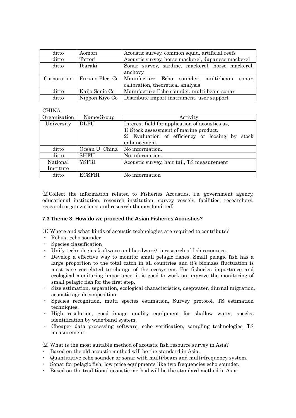| ditto | Aomori                        | Acoustic survey, common squid, artificial reefs                                     |  |  |
|-------|-------------------------------|-------------------------------------------------------------------------------------|--|--|
| ditto | Tottori                       | Acoustic survey, horse mackerel, Japanese mackerel                                  |  |  |
| ditto | Ibaraki                       | Sonar survey, sardine, mackerel, horse mackerel,<br>anchovy                         |  |  |
|       | Corporation   Furuno Elec. Co | Manufacture Echo sounder, multi-beam<br>sonar.<br>calibration, theoretical analysis |  |  |
| ditto | Kaijo Sonic Co                | Manufacture Echo sounder, multi-beam sonar                                          |  |  |
| ditto | Nippon Kiyo Co                | Distribute import instrument, user support                                          |  |  |

## **CHINA**

| Organization | Name/Group     | Activity                                           |  |  |
|--------------|----------------|----------------------------------------------------|--|--|
| University   | <b>DLFU</b>    | Interest field for application of acoustics as,    |  |  |
|              |                | 1) Stock assessment of marine product.             |  |  |
|              |                | 2) Evaluation of efficiency of loosing by<br>stock |  |  |
|              |                | enhancement.                                       |  |  |
| ditto        | Ocean U. China | No information.                                    |  |  |
| ditto        | <b>SHFU</b>    | No information.                                    |  |  |
| National     | YSFRI          | Acoustic survey, hair tail, TS measurement         |  |  |
| Institute    |                |                                                    |  |  |
| ditto        | <b>ECSFRI</b>  | No information                                     |  |  |

(2)Collect the information related to Fisheries Acoustics. i.e. government agency, educational institution, research institution, survey vessels, facilities, researchers, research organizations, and research themes.(omitted)

## **7.3 Theme 3: How do we proceed the Asian Fisheries Acoustics?**

(1) Where and what kinds of acoustic technologies are required to contribute?

- ・ Robust echo sounder
- ・ Species classification
- ・ Unify technologies (software and hardware) to research of fish resources.
- ・ Develop a effective way to monitor small pelagic fishes. Small pelagic fish has a large proportion to the total catch in all countries and it's biomass fluctuation is most case correlated to change of the ecosystem. For fisheries importance and ecological monitoring importance, it is good to work on improve the monitoring of small pelagic fish for the first step.
- ・ Size estimation, separation, ecological characteristics, deepwater, diurnal migration, acoustic age decomposition.
- ・ Species recognition, multi species estimation, Survey protocol, TS estimation techniques.
- ・ High resolution, good image quality equipment for shallow water, species identification by wide-band system.
- ・ Cheaper data processing software, echo verification, sampling technologies, TS measurement.

(2) What is the most suitable method of acoustic fish resource survey in Asia?

- ・ Based on the old acoustic method will be the standard in Asia.
- ・ Quantitative echo sounder or sonar with multi-beam and multi-frequency system.
- Sonar for pelagic fish, low price equipments like two frequencies echo-sounder.
- Based on the traditional acoustic method will be the standard method in Asia.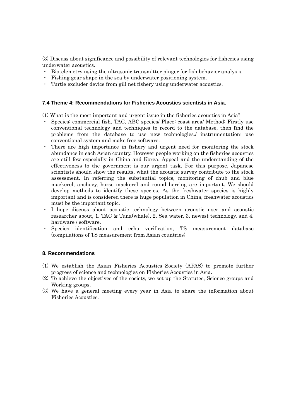(3) Discuss about significance and possibility of relevant technologies for fisheries using underwater acoustics.

- ・ Biotelemetry using the ultrasonic transmitter pinger for fish behavior analysis.
- ・ Fishing gear shape in the sea by underwater positioning system.
- ・ Turtle excluder device from gill net fishery using underwater acoustics.

## **7.4 Theme 4: Recommendations for Fisheries Acoustics scientists in Asia.**

(1) What is the most important and urgent issue in the fisheries acoustics in Asia?

- Species: commercial fish, TAC, ABC species/ Place: coast area/ Method: Firstly use conventional technology and techniques to record to the database, then find the problems from the database to use new technologies./ instrumentation: use conventional system and make free software.
- There are high importance in fishery and urgent need for monitoring the stock abundance in each Asian country. However people working on the fisheries acoustics are still few especially in China and Korea. Appeal and the understanding of the effectiveness to the government is our urgent task. For this purpose, Japanese scientists should show the results, what the acoustic survey contribute to the stock assessment. In referring the substantial topics, monitoring of chub and blue mackerel, anchovy, horse mackerel and round herring are important. We should develop methods to identify these species. As the freshwater species is highly important and is considered there is huge population in China, freshwater acoustics must be the important topic.
- I hope discuss about acoustic technology between acoustic user and acoustic researcher about, 1. TAC & Tuna(whale), 2. Sea water, 3. newest technology, and 4. hardware / software.
- Species identification and echo verification, TS measurement database (compilations of TS measurement from Asian countries)

## **8. Recommendations**

- (1) We establish the Asian Fisheries Acoustics Society (AFAS) to promote further progress of science and technologies on Fisheries Acoustics in Asia.
- (2) To achieve the objectives of the society, we set up the Statutes, Science groups and Working groups.
- (3) We have a general meeting every year in Asia to share the information about Fisheries Acoustics.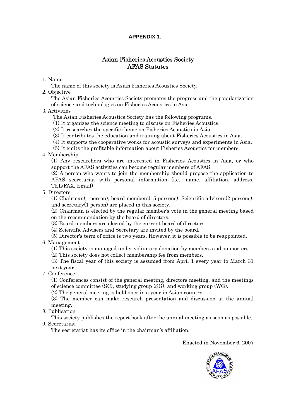## **APPENDIX 1.**

## Asian Fisheries Acoustics Society AFAS Statutes

## 1. Name

The name of this society is Asian Fisheries Acoustics Society.

2. Objective

The Asian Fisheries Acoustics Society promotes the progress and the popularization of science and technologies on Fisheries Acoustics in Asia.

## 3. Activities

The Asian Fisheries Acoustics Society has the following programs.

(1) It organizes the science meeting to discuss on Fisheries Acoustics.

(2) It researches the specific theme on Fisheries Acoustics in Asia.

(3) It contributes the education and training about Fisheries Acoustics in Asia.

(4) It supports the cooperative works for acoustic surveys and experiments in Asia.

(5) It emits the profitable information about Fisheries Acoustics for members.

4. Membership

(1) Any researchers who are interested in Fisheries Acoustics in Asia, or who support the AFAS activities can become regular members of AFAS.

(2) A person who wants to join the membership should propose the application to AFAS secretariat with personal information (i.e., name, affiliation, address, TEL/FAX, Email)

5. Directors

(1) Chairman(1 person), board members(15 persons), Scientific advisers(2 persons), and secretary(1 person) are placed in this society.

(2) Chairman is elected by the regular member's vote in the general meeting based on the recommendation by the board of directors.

(3) Board members are elected by the current board of directors.

(4) Scientific Advisers and Secretary are invited by the board.

(5) Director's term of office is two years. However, it is possible to be reappointed.

6. Management

(1) This society is managed under voluntary donation by members and supporters.

(2) This society does not collect membership fee from members.

(3) The fiscal year of this society is assumed from April 1 every year to March 31 next year.

7. Conference

(1) Conferences consist of the general meeting, directors meeting, and the meetings of science committee (SC), studying group (SG), and working group (WG).

(2) The general meeting is held once in a year in Asian country.

(3) The member can make research presentation and discussion at the annual meeting.

8. Publication

This society publishes the report book after the annual meeting as soon as possible. 9. Secretariat

The secretariat has its office in the chairman's affiliation.

Enacted in November 6, 2007

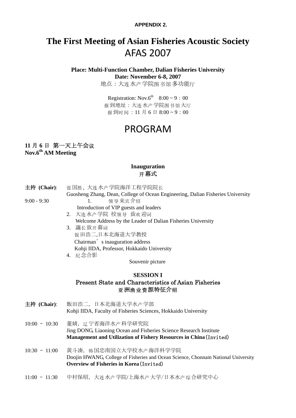**APPENDIX 2.**

# **The First Meeting of Asian Fisheries Acoustic Society**  AFAS 2007

**Place: Multi-Function Chamber, Dalian Fisheries University Date: November 6-8, 2007** 

地点:大连水产学院图书馆多功能厅

Registration: Nov.6<sup>th</sup>  $8:00 \sim 9:00$ 报到地址:大连水产学院图书馆大厅 报到时间: 11月6日8:00~9:00

# PROGRAM

# **11** 月 **6** 日 第一天上午会议

**Nov.6th AM Meeting** 

## **Inauguration**  开幕式

- 主持 (Chair): 张国胜, 大连水产学院海洋工程学院院长
- Guosheng Zhang, Dean, College of Ocean Engineering, Dalian Fisheries University 9:00 - 9:30 1. 领导来宾介绍
	- Introduction of VIP guests and leaders
	- 2. 大连水产学院 校领导 致欢迎词 Welcome Address by the Leader of Dalian Fisheries University
	- 3. 議长致开幕词 饭田浩二,日本北海道大学教授 Chairman's inauguration address Kohii IIDA, Professor, Hokkaido University 4. 纪念合影

Souvenir picture

## **SESSION I**  Present State and Characteristics of Asian Fisheries 亚洲渔业资源特征介绍

- 主持 (Chair): 飯田浩二, 日本北海道大学水产学部 Kohji IIDA, Faculty of Fisheries Sciences, Hokkaido University
- 10:00 10:30 董婧, 辽宁省海洋水 产科学研究院 Jing DONG, Liaoning Ocean and Fisheries Science Research Institute **Management and Utilization of Fishery Resources in China**(Invited)
- 10:30 11:00 黄斗凑, 韩国忠南国立大学校水产海洋科学学院 Doojin HWANG, College of Fisheries and Ocean Science, Chonnam National University **Overview of Fisheries in Korea**(Invited)
- 11:00 11:30 中村保昭, 大连水产学院/上海水产大学/日本水产综合研究中心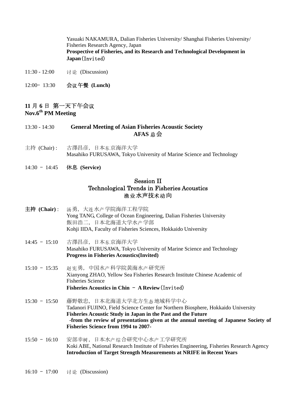Yasuaki NAKAMURA, Dalian Fisheries University/ Shanghai Fisheries University/ Fisheries Research Agency, Japan **Prospective of Fisheries, and its Research and Technological Development in Japan**(Invited)

- 11:30 12:00 讨论 (Discussion)
- 12:00– 13:30 会 午餐 议 **(Lunch)**

## **11** 月 **6** 日 第一天下午会议 **Nov.6th PM Meeting**

- 13:30 14:30 **General Meeting of Asian Fisheries Acoustic Society AFAS** 总会
- 主持 (Chair): 古澤昌彦, 日本东京海洋大学 Masahiko FURUSAWA, Tokyo University of Marine Science and Technology
- 14:30 14:45 休息 **(Service)**

## Session II Technological Trends in Fisheries Acoustics 渔业水声技术动向

- 主持 (Chair) : 汤勇, 大连水产学院海洋工程学院 Yong TANG, College of Ocean Engineering, Dalian Fisheries University 飯田浩二, 日本北海道大学水产学部 Kohji IIDA, Faculty of Fisheries Sciences, Hokkaido University
- 14:45 15:10 古澤昌彦, 日本 东京海洋大学 Masahiko FURUSAWA, Tokyo University of Marine Science and Technology  **Progress in Fisheries Acoustics(Invited)**
- 15:10 15:35 赵宪勇, 中国水产科学院黄海水产研究所 Xianyong ZHAO, Yellow Sea Fisheries Research Institute Chinese Academic of Fisheries Science **Fisheries Acoustics in Chin** – **A Review**(Invited)
- 15:30 15:50 藤野敬忠, 日本北海道大学北方生态地域科学中心 Tadanori FUJINO, Field Science Center for Northern Biosphere, Hokkaido University **Fisheries Acoustic Study in Japan in the Past and the Future -from the review of presentations given at the annual meeting of Japanese Society of Fisheries Science from 1994 to 2007-**
- 15:50 16:10 安部幸树, 日本水产综合研究中心水产工学研究所 Koki ABE, National Research Institute of Fisheries Engineering, Fisheries Research Agency **Introduction of Target Strength Measurements at NRIFE in Recent Years**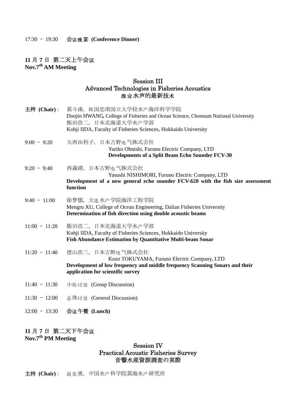#### 17:30 - 19:30 会议晚宴 (Conference Dinner)

## **11** 月 **7** 日 第二天上午会议 **Nov.7th AM Meeting**

## Session III Advanced Technologies in Fisheries Acoustics 渔业水声的最新技术

主持 (Chair): 黄斗凑, 韩国忠南国立大学校水产海洋科学学院 Doojin HWANG, College of Fisheries and Ocean Science, Chonnam National University 飯田浩二, 日本北海道大学水产学部 Kohii IIDA, Faculty of Fisheries Sciences, Hokkaido University  $9:00 - 9:20$  大西由利子, 日本古野 电气株式会社 Yuriko Ohnishi, Furuno Electric Company, LTD **Developments of a Split Beam Echo Sounder FCV-30**   $9:20 - 9:40$  西森靖, 日本古野 电气株式会社 Yasushi NISHIMORI, Furuno Electric Company, LTD **Development of a new general echo sounder FCV-620 with the fish size assessment function**   $9:40 - 11:00$  徐梦儒, 大连水产学院海洋工程学院 Mengru XU, College of Ocean Engineering, Dalian Fisheries University **Determination of fish direction using double acoustic beams**  11:00 - 11:20 飯田浩二, 日本北海道大学水产学部 Kohji IIDA, Faculty of Fisheries Sciences, Hokkaido University **Fish Abundance Estimation by Quantitative Multi-beam Sonar**  11:20 - 11:40 德山浩三, 日本古野电气株式会社 Kozo TOKUYAMA, Furuno Electric Company, LTD **Development of low frequency and middle frequency Scanning Sonars and their application for scientific survey**  11:40 - 11:30 小组讨论 (Group Discussion) 11:30 - 12:00 总体讨论 (General Discussion) 12:00 – 13:30 会 午餐 议 **(Lunch)**

# **11** 月 **7** 日 第二天下午会议

## **Nov.7th PM Meeting**

## Session IV Practical Acoustic Fisheries Survey 音響水産資源調査の実際

主持 (Chair): 赵宪勇, 中国水产科学院黄海水产研究所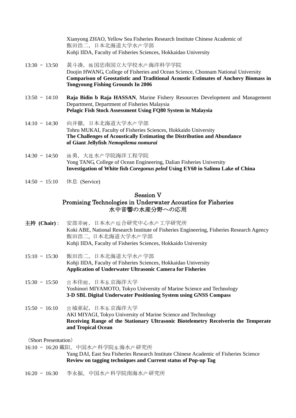Xianyong ZHAO, Yellow Sea Fisheries Research Institute Chinese Academic of 飯田浩二,日本北海道大学水产学部 Kohii IIDA, Faculty of Fisheries Sciences, Hokkaidao University

- 13:30 13:50 黄斗凑, 韩国忠南国立大学校水产海洋科学学院 Doojin HWANG, College of Fisheries and Ocean Science, Chonnam National University **Comparison of Geostatistic and Traditional Acoustic Estimates of Anchovy Biomass in Tongyoung Fishing Grounds In 2006**
- 13:50 14:10 **Raja Bidin b Raja HASSAN**, Marine Fishery Resources Development and Management Department, Department of Fisheries Malaysia **Pelagic Fish Stock Assessment Using FQ80 System in Malaysia**
- 14:10 14:30 向井徹, 日本北海道大学水产学部 Tohru MUKAI, Faculty of Fisheries Sciences, Hokkaido University **The Challenges of Acoustically Estimating the Distribution and Abundance of Giant Jellyfish** *Nemopilema nomurai*
- 14:30 14:50 汤勇, 大连水产学院海洋工程学院 Yong TANG, College of Ocean Engineering, Dalian Fisheries University **Investigation of White fish** *Coregonus peled* **Using EY60 in Salimu Lake of China**
- 14:50 15:10 休息 (Service)

## Session V Promising Technologies in Underwater Acoustics for Fisheries 水中音響の水産分野への応用

- 主持 (Chair) : 安部幸树, 日本水产综合研究中心水产工学研究所 Koki ABE, National Research Institute of Fisheries Engineering, Fisheries Research Agency 飯田浩二, 日本北海道大学水产学部 Kohii IIDA, Faculty of Fisheries Sciences, Hokkaido University
- 15:10 15:30 飯田浩二, 日本北海道大学水产学部 Kohji IIDA, Faculty of Fisheries Sciences, Hokkaidao University **Application of Underwater Ultrasonic Camera for Fisheries**
- 15:30 15:50 宫本佳则, 日本东京海洋大学 Yoshinori MIYAMOTO, Tokyo University of Marine Science and Technology **3-D SBL Digital Underwater Positioning System using GNSS Compass**
- 15:50 16:10 宫城亜紀, 日本东京海洋大学 AKI MIYAGI, Tokyo University of Marine Science and Technology **Receiving Range of the Stationary Ultrasonic Biotelemetry Receiverin the Temperate and Tropical Ocean**

(Short Presentation)

16:10 - 16:20 戴阳, 中国水产科学院东海水产研究所

Yang DAI, East Sea Fisheries Research Institute Chinese Academic of Fisheries Science **Review on tagging techniques and Current status of Pop-up Tag** 

 $16:20 - 16:30$  李永振, 中国水产科学院南海水产研究所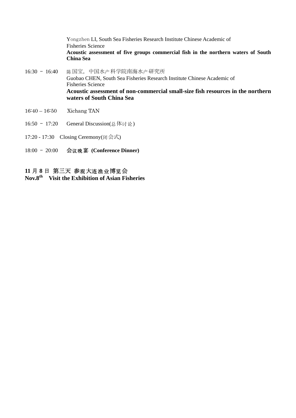Yongzhen LI, South Sea Fisheries Research Institute Chinese Academic of Fisheries Science **Acoustic assessment of five groups commercial fish in the northern waters of South China Sea** 

- 16:30 16:40 陈国宝, 中国水产科学院南海水产研究所 Guobao CHEN, South Sea Fisheries Research Institute Chinese Academic of Fisheries Science **Acoustic assessment of non-commercial small-size fish resources in the northern waters of South China Sea**
- 16:40 16:50 Xichang TAN
- 16:50 17:20 General Discussion(总体讨论)
- 17:20 17:30 Closing Ceremony(闭会式)
- 18:00 20:00 会议晚宴 (Conference Dinner)

## 11 月 8 日 第三天 参观大连渔业博览会

**Nov.8th Visit the Exhibition of Asian Fisheries**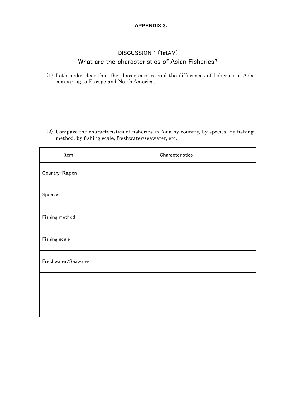## **APPENDIX 3.**

## DISCUSSION 1 (1stAM) What are the characteristics of Asian Fisheries?

(1) Let's make clear that the characteristics and the differences of fisheries in Asia comparing to Europe and North America.

(2) Compare the characteristics of fisheries in Asia by country, by species, by fishing method, by fishing scale, freshwater/seawater, etc.

| Item                | Characteristics |
|---------------------|-----------------|
| Country/Region      |                 |
| Species             |                 |
| Fishing method      |                 |
| Fishing scale       |                 |
| Freshwater/Seawater |                 |
|                     |                 |
|                     |                 |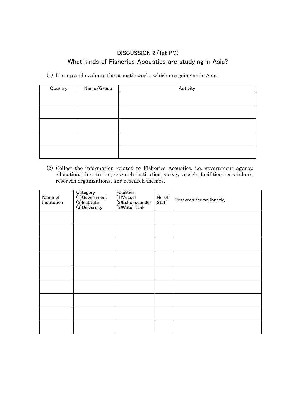## DISCUSSION 2 (1st PM) What kinds of Fisheries Acoustics are studying in Asia?

(1) List up and evaluate the acoustic works which are going on in Asia.

| Country | Name/Group | Activity |
|---------|------------|----------|
|         |            |          |
|         |            |          |
|         |            |          |
|         |            |          |
|         |            |          |
|         |            |          |

(2) Collect the information related to Fisheries Acoustics. i.e. government agency, educational institution, research institution, survey vessels, facilities, researchers, research organizations, and research themes.

| Name of<br>Institution | Category<br>(1)Government<br>(2)Institute<br>(3)University | Facilities<br>(1)Vessel<br>(2)Echo-sounder<br>(3) Water tank | Nr. of<br>Staff | Research theme (briefly) |
|------------------------|------------------------------------------------------------|--------------------------------------------------------------|-----------------|--------------------------|
|                        |                                                            |                                                              |                 |                          |
|                        |                                                            |                                                              |                 |                          |
|                        |                                                            |                                                              |                 |                          |
|                        |                                                            |                                                              |                 |                          |
|                        |                                                            |                                                              |                 |                          |
|                        |                                                            |                                                              |                 |                          |
|                        |                                                            |                                                              |                 |                          |
|                        |                                                            |                                                              |                 |                          |
|                        |                                                            |                                                              |                 |                          |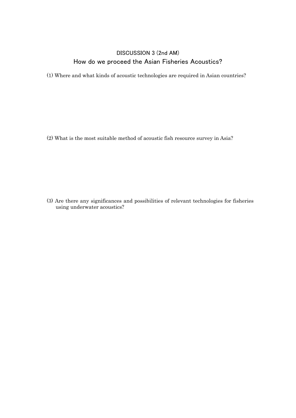## DISCUSSION 3 (2nd AM) How do we proceed the Asian Fisheries Acoustics?

(1) Where and what kinds of acoustic technologies are required in Asian countries?

(2) What is the most suitable method of acoustic fish resource survey in Asia?

(3) Are there any significances and possibilities of relevant technologies for fisheries using underwater acoustics?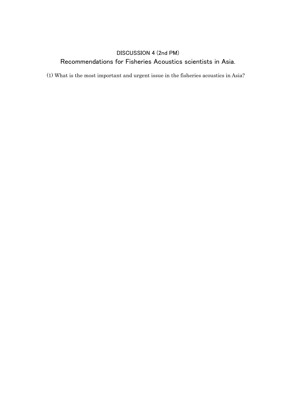# DISCUSSION 4 (2nd PM) Recommendations for Fisheries Acoustics scientists in Asia.

(1) What is the most important and urgent issue in the fisheries acoustics in Asia?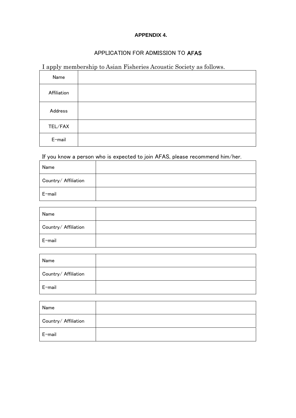## **APPENDIX 4.**

## APPLICATION FOR ADMISSION TO AFAS

# I apply membership to Asian Fisheries Acoustic Society as follows.

| Name        |  |
|-------------|--|
| Affiliation |  |
| Address     |  |
| TEL/FAX     |  |
| E-mail      |  |

If you know a person who is expected to join AFAS, please recommend him/her.

| Name                 |  |
|----------------------|--|
| Country/ Affiliation |  |
| E-mail               |  |

| Name                 |  |
|----------------------|--|
| Country/ Affiliation |  |
| E-mail               |  |

| Name                 |  |
|----------------------|--|
| Country/ Affiliation |  |
| E-mail               |  |

| Name                 |  |
|----------------------|--|
| Country/ Affiliation |  |
| E-mail               |  |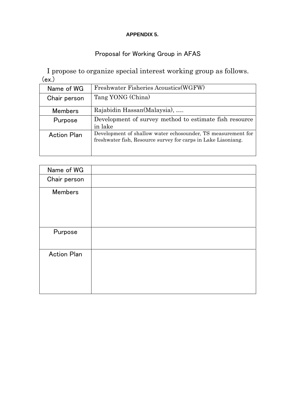## **APPENDIX 5.**

# Proposal for Working Group in AFAS

I propose to organize special interest working group as follows. (ex.)

| Name of WG         | Freshwater Fisheries Acoustics (WGFW)                                                                                         |  |  |  |
|--------------------|-------------------------------------------------------------------------------------------------------------------------------|--|--|--|
| Chair person       | Tang YONG (China)                                                                                                             |  |  |  |
| <b>Members</b>     | Rajabidin Hassan(Malaysia),                                                                                                   |  |  |  |
| Purpose            | Development of survey method to estimate fish resource<br>in lake                                                             |  |  |  |
| <b>Action Plan</b> | Development of shallow water echosounder, TS measurement for<br>freshwater fish, Resource survey for carps in Lake Liaoniang. |  |  |  |

| Name of WG         |  |
|--------------------|--|
| Chair person       |  |
| <b>Members</b>     |  |
| Purpose            |  |
| <b>Action Plan</b> |  |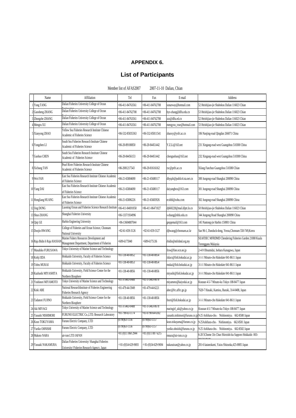## **APPENDIX 6.**

# **List of Participants**

|    | Member iist of AFAS2007<br>2007-11-10 Danan, Chian |                                                                                                |                         |                      |                                |                                                                               |  |  |
|----|----------------------------------------------------|------------------------------------------------------------------------------------------------|-------------------------|----------------------|--------------------------------|-------------------------------------------------------------------------------|--|--|
|    | Name                                               | Affiliation                                                                                    | Tel                     | Fax                  | E-mail                         | Address                                                                       |  |  |
|    | Yong TANG                                          | Dalian Fisheries University College of Ocean                                                   | +86-411-84763561        | +86-411-84762708     | sonarway@hotmail.com           | 52 Heishijiao-jie Shahekou Dalian 116023 Chian                                |  |  |
|    | Guosheng ZHANG                                     | Dalian Fisheries University College of Ocean                                                   | +86-411-84762708        | +86-411-84762708     | hyx-zhang@dlfu.edu.cn          | 53 Heishijiao-jie Shahekou Dalian 116023 Chian                                |  |  |
|    | Zhongzhe ZHANG                                     | Dalian Fisheries University College of Ocean                                                   | +86-411-84763561        | +86-411-84762708     | zzz@dlfu.ed.cn                 | 52 Heishijiao-jie Shahekou Dalian 116023 Chian                                |  |  |
|    | Mengru XU                                          | Dalian Fisheries University College of Ocean                                                   | +86-411-84763561        | +86-411-84762708     | mengyou_rose@hotmail.com       | 53 Heishijiao-jie Shahekou Dalian 116023 Chian                                |  |  |
|    | 5 Xianyong ZHAO                                    | Yellow Sea Fisheries Research Institute Chinese<br>Academic of Fisheries Science               | +86-532-85835363        | 86-532-85811541      | zhaoxy@ysfri.ac.cn             | 106 Nanjing-road Qingdao 266071 China                                         |  |  |
|    | 6 Yongzhen LI                                      | South Sea Fisheries Research Institute Chinese<br>Academic of Fisheries Science                | +86-20-89100850         | +86-20-84451442      | Y.Z.Li@163.net                 | 231 Xingang-road west Guangzhou 510300 China                                  |  |  |
|    | 7 Guobao CHEN                                      | South Sea Fisheries Research Institute Chinese<br>Academic of Fisheries Science                | +86-20-84456153         | +86-20-84451442      | chenguobao@163.net             | 232 Xingang-road west Guangzhou 510300 China                                  |  |  |
|    | 8 Xichang TAN                                      | Pearl River Fisheries Research Institute Chinese<br>Academic of Fisheries Science              | +86-2081217543          | +86-20-81616162      | txc@prfri.ac.cn                | Xilang Fanchun Guangzhou 510380 Chian                                         |  |  |
|    | Wei FAN                                            | East Sea Fisheries Research Institute Chinese Academic<br>of Fisheries Science                 | +86-21-65804690         | +86-21-65680117      | dhyqzh@public4.sta.net.cn      | 300 Jungong-road Shanghai 200090 China                                        |  |  |
|    | 10 Yang DAI                                        | East Sea Fisheries Research Institute Chinese Academic<br>of Fisheries Science                 | +86-21-65804690         | +86-21-65680117      | daiyangbox@163.com             | 301 Jungong-road Shanghai 200090 China                                        |  |  |
|    | 11 Hongliang HUANG                                 | East Sea Fisheries Research Institute Chinese Academic<br>of Fisheries Science                 | +86-21-65806226         | +86-21-65683926      | ecshhl@sohu.com                | 302 Jungong-road Shanghai 200090 China                                        |  |  |
|    | 12 Jing DONG                                       | Liaoning Ocean and Fisheries Science Research Institute                                        | +86-411-84691058        | +86-411-86471027     | dj660228@mail.dlptt.ln.cn      | 50 Heishijiao-jie Shahekou Dalian 116023 Chian                                |  |  |
|    | 13 Shuo ZHANG                                      | Shanghai Fisheries University                                                                  | +86-13371934996         |                      | s-zhang@shfu.edu.cn            | 344 Jungong Road Shanghai 200090 China                                        |  |  |
|    | 14 Qiqi GE                                         | Harbin Enginering University                                                                   | +86-13604887044         |                      | geqqemail@163.com              | 145 Nantong-jie Harbin 150001 China                                           |  |  |
|    | 15 Doojin HWANG                                    | College of Fisheries and Ocean Science, Chonnam<br>National University                         | +82-61-659-3126         | +82-61-659-3127      | djhwang@chonnam.ac.kr          | San 96-1, Dunduck-dong, Yeosu, Chonnam 550-749, Korea                         |  |  |
|    | 16 Raja Bidin b Raja HASSA!                        | Marine Fishery Resources Development and<br>Management Department, Department of Fisheries     | +609-6175940            | +609-6175136         | rbidin@mfrdmd.org.my           | SEAFDEC MFRDMD Chendering Fisheries Garden 21080 Kuala<br>Terengganu Malaysia |  |  |
|    | 17 Masahiko FURUSAWA                               | Tokyo University of Marine Science and Technology                                              |                         |                      | frsw@fine.ocn.ne.jp            | 2-4-9 Ohsumidai, Isehara Kanagawa, Japan                                      |  |  |
|    | 18 Kohji IIDA                                      | Hokkaido University, Faculty of Fisheries Science                                              | +81-138-40-8852         | +81-138-40-8854      | iidacs@fish.hokudai.ac.jp      | 3-1-1 Minato-cho Hakodate 041-8611 Japan                                      |  |  |
|    | 19 Tohru MUKAI                                     | Hokkaido University, Faculty of Fisheries Science                                              | $+81 - 138 - 40 - 8853$ | +81-138-40-8854      | nukai@fish.hokudai.ac.jp       | 3-1-1 Minato-cho Hakodate 041-8611 Japan                                      |  |  |
|    | 20 Kazhushi MIYASHITA                              | Hokkaido University, Field Science Center for the<br>Northern Biosphere                        | +81-138-40-8856         | +81-138-40-8856      | miyashi@fish.hokudai.ac.jp     | 3-1-1 Minato-cho Hakodate 041-8611 Japan                                      |  |  |
|    | 21 Yoshinori MIYAMOTO                              | Tokyo University of Marine Science and Technology                                              | +81-3-5463-0488         | +81-3-5463-0678      | miyamoto@kaiyodai.ac.jp        | Kounan 4-5-7 Minato-ku Tokyo 108-8477 Japan                                   |  |  |
|    | 22 Koki ABE                                        | National ResearchInstitute of Fisheries Engineering<br><b>Fisheries Research Agency</b>        | +81-479-44-5949         | +81-479-44-6221      | abec@frc.affrc.go.jp           | 7620-7 Hasaki, Kamisu, Ibaraki, 314-0408, Japan                               |  |  |
|    | 23 Tadanori FUJINO                                 | Hokkaido University, Field Science Center for the<br>Northern Biosphere                        | +81-138-40-8856         | +81-138-40-8856      | fnori@fish.hokudai.ac.jp       | 3-1-1 Minato-cho Hakodate 041-8611 Japan                                      |  |  |
|    | 24 Aki MIYAGI                                      | Tokyo University of Marine Science and Technology                                              | +81-3-5463-0488         | +81-3-5463-0678      | maringirl_aki@yahoo.co.jp      | Kounan 4-5-7 Minato-ku Tokyo 108-8477 Japan                                   |  |  |
|    | 25 Yasushi NISHIMORI                               | FURUNO ELECTRIC Co., LTD. Research Laboratory                                                  | +81-798-63-1174         | +81-0798-64-6302     | vasushi.nishimori@furuno.co.jp | 9-25 Ashihara-cho, Nishinomiya, 662-8580 Japan                                |  |  |
|    | 26 Kozo TOKUYAMA                                   | Furuno Electric Company, LTD                                                                   | $(0798)63 - 1156$       | (0798)63-1157        | kozo.tokuyama@furuno.co.jp     | 9-25Ashihara-cho, Nishinomiya, 662-8581 Japan                                 |  |  |
|    | 27 Yuriko OHNISHI                                  | Furuno Electric Company, LTD                                                                   | (U/98)63-1156           | (U/98)63-1157        | yuriko.ohnishi@furuno.co.jp    | 9-25 Ashihara-cho, Nishinomiya, 662-8582 Japan                                |  |  |
| 28 | Makoto NARA                                        | air-ism LTD JAPAN                                                                              | +81 (0)11 860 2944      | +81 (0)11 887 6215   | mnara@air-ism.co.jp            | 6-20 5Chome 3Jo Chuo Shiroishi-ku Sapporo Hokkaido 003-                       |  |  |
|    | 29 Yasuaki NAKAMURA                                | Dalian Fisheries University/ Shanghai Fisheries<br>University/Fisheries Research Agency, Japan | +81-(0)54-629-9693      | $+81-(0)54-629-9694$ | akasuisan@yahoo.co.jp          | 201-6 katanokami, Yaizu Shizuoka, 425-0005 Japan                              |  |  |

Member list of AFAS2007 2007-11-10 Dalian, Chian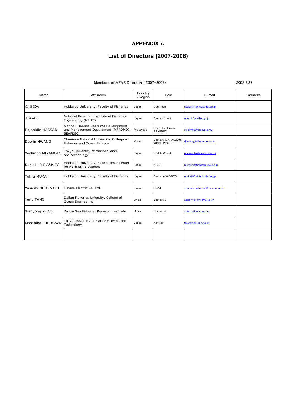## **APPENDIX 7.**

## **List of Directors (2007-2008)**

#### Members of AFAS Directors (2007-2008)

2008.8.27

| Name               | Affiliation                                                                                    | Country<br>/Region | Role                               | E-mail                         | Remarks |
|--------------------|------------------------------------------------------------------------------------------------|--------------------|------------------------------------|--------------------------------|---------|
| Kohji IIDA         | Hokkaido University, Faculty of Fisheries                                                      | Japan              | Cahirman                           | iidacs@fish.hokudai.ac.ip      |         |
| Koki ABE           | National Research Institute of Fisheries<br>Engineering (NRIFE)                                | Japan              | Recuruitment                       | abec@fra.affrc.go.jp           |         |
| Rajabidin HASSAN   | Marine Fisheries Resource Development<br>and Manegement Department (MFRDMD),<br><b>SEAFDEC</b> | Malaysia           | South East Asia.<br><b>SEAFDEC</b> | rbidin@mfrdmd.org.mv           |         |
| Doojin HWANG       | Chonnam National University, College of<br>Fisheries and Ocean Science                         | Korea              | Domestic, AFAS2008.<br>WGPF, WGJF  | dihwang@chonnam.ac.kr          |         |
| Yoshinori MIYAMOTO | Tokyo University of Marine Sience<br>and technology                                            | Japan              | <b>SGAA, WGBT</b>                  | miyamoto@kaiyodai.ac.jp        |         |
| Kazushi MIYASHITA  | Hokkaido University, Field Science center<br>for Northern Biosphere                            | Japan              | <b>SGES</b>                        | miyashi@fish.hokudai.ac.ip     |         |
| <b>Tohru MUKAI</b> | Hokkaido University, Faculty of Fisheries                                                      | Japan              | Secretariat.SGTS                   | mukai@fish.hokudai.ac.jp       |         |
| Yasushi NISHIMORI  | Furuno Electric Co. Ltd.                                                                       | Japan              | <b>SGAT</b>                        | vasushi.nishimori@furuno.co.ip |         |
| Yong TANG          | Dalian Fisheries Uniersity, College of<br>Ocean Engineering                                    | China              | Domestic                           | sonarway@hotmail.com           |         |
| Xianyong ZHAO      | Yellow Sea Fisheries Research Institute                                                        | China              | Domestic                           | zhaoxy@vsfri.ac.cn             |         |
| Masahiko FURUSAWA  | Tokyo University of Marine Science and<br>Technology                                           | Japan              | Advisor                            | frsw@fine.ocn.ne.jp            |         |
|                    |                                                                                                |                    |                                    |                                |         |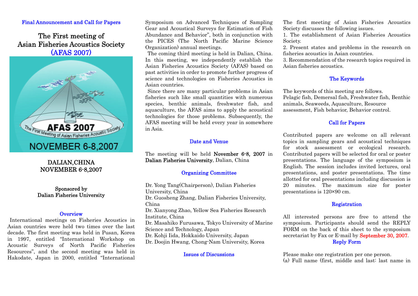## Final Announcement and Call for Papers

## The First meeting of Asian Fisheries Acoustics Society (AFAS 2007)



## DALIAN,CHINA NOVEMBER 6-8,2007

## Sponsored by Dalian Fisheries University

## **Overview**

International meetings on Fisheries Acoustics in Asian countries were held two times over the last decade. The first meeting was held in Pusan, Korea in 1997, entitled "International Workshop on Acoustic Surveys of North Pacific Fisheries Resources", and the second meeting was held in Hakodate, Japan in 2000, entitled "International Symposium on Advanced Techniques of Sampling Gear and Acoustical Surveys for Estimation of Fish Abundance and Behavior", both in conjunction with the PICES (The North Pacific Marine Science Organization) annual meetings.

The coming third meeting is held in Dalian, China. In this meeting, we independently establish the Asian Fisheries Acoustics Society (AFAS) based on past activities in order to promote further progress of science and technologies on Fisheries Acoustics in Asian countries.

Since there are many particular problems in Asian fisheries such like small quantities with numerous species, benthic animals, freshwater fish, and aquaculture, the AFAS aims to apply the acoustical technologies for those problems. Subsequently, the AFAS meeting will be held every year in somewhere in Asia.

## Date and Venue

The meeting will be held November 6-8, 2007 in Dalian Fisheries University, Dalian, China

## Organizing Committee

Dr. Yong Tang(Chairperson), Dalian Fisheries University, China Dr. Guosheng Zhang, Dalian Fisheries University, China Dr. Xianyong Zhao, Yellow Sea Fisheries Research Institute, China Dr. Masahiko Furusawa, Tokyo University of Marine Science and Technology, Japan Dr. Kohji Iida, Hokkaido University, Japan Dr. Doojin Hwang, Chong-Nam University, Korea

#### Issues of Discussions

The first meeting of Asian Fisheries Acoustics Society discusses the following issues.

1. The establishment of Asian Fisheries Acoustics Society.

2. Present states and problems in the research on fisheries acoustics in Asian countries.

3. Recommendation of the research topics required in Asian fisheries acoustics.

## The Keywords

The keywords of this meeting are follows. Pelagic fish, Demersal fish, Freshwater fish, Benthic animals, Seaweeds, Aquaculture, Resource assessment, Fish behavior, Behavior control.

## Call for Papers

Contributed papers are welcome on all relevant topics in sampling gears and acoustical techniques for stock assessment or ecological research. Contributed papers will be selected for oral or poster presentations. The language of the symposium is English. The session includes invited lectures, oral presentations, and poster presentations. The time allotted for oral presentations including discussion is 20 minutes. The maximum size for poster presentations is 120×90 cm.

## Registration

All interested persons are free to attend the symposium. Participants should send the REPLY FORM on the back of this sheet to the symposium secretariat by Fax or E-mail by **September 30, 2007**. Reply Form

Please make one registration per one person. (a) Full name (first, middle and last: last name in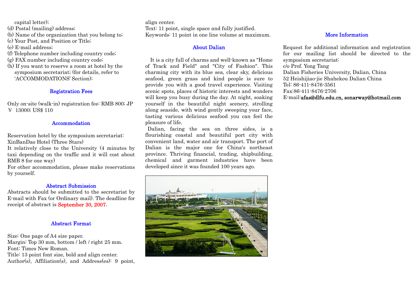capital letter);

(d) Postal (mailing) address;

(b) Name of the organization that you belong to;

- (c) Your Post, and Position or Title;
- (e) E-mail address;
- (f) Telephone number including country code;
- (g) FAX number including country code;
- (h) If you want to reserve a room at hotel by the symposium secretariat; (for details, refer to 'ACCOMMODATIONS' Section);

## Registration Fees

Only on-site (walk-in) registration fee: RMB 800; JP ¥ 13000; US\$ 110

## **Accommodation**

Reservation hotel by the symposium secretariat: XinBanDao Hotel (Three Stars)

It relatively close to the University (4 minutes by taxi depending on the traffic and it will cost about RMB 8 for one way)

For other accommodation, please make reservations by yourself.

## Abstract Submission

Abstracts should be submitted to the secretariat by E-mail with Fax (or Ordinary mail). The deadline for receipt of abstract is September 30, 2007.

## Abstract Format

Size: One page of A4 size paper. Margin: Top 30 mm, bottom / left / right 25 mm. Font: Times New Roman. Title: 13 point font size, bold and align center.

Author(s), Affiliation(s), and Address(es): 9 point,

align center. Text: 11 point, single space and fully justified. Keywords: 11 point in one line volume at maximum.

## About Dalian

 It is a city full of charms and well-known as "Home of Track and Field" and "City of Fashion". This charming city with its blue sea, clear sky, delicious seafood, green grass and kind people is sure to provide you with a good travel experience. Visiting scenic spots, places of historic interests and wonders will keep you busy during the day. At night, soaking yourself in the beautiful night scenery, strolling along seaside, with wind gently sweeping your face, tasting various delicious seafood you can feel the pleasure of life.

Dalian, facing the sea on three sides, is a flourishing coastal and beautiful port city with convenient land, water and air transport. The port of Dalian is the major one for China's northeast province. Thriving financial, trading, shipbuilding, chemical and garment industries have been developed since it was founded 100 years ago.



## More Information

Request for additional information and registration for our mailing list should be directed to the symposium secretariat: c/o Prof. Yong Tang Dalian Fisheries University, Dalian, China 52 Heishijiao-jie Shahekou Dalian China Tel: 86-411-8476-3561 Fax:86-411-8476-2706 E-mail:afas@dlfu.edu.cn, sonarway@hotmail.com